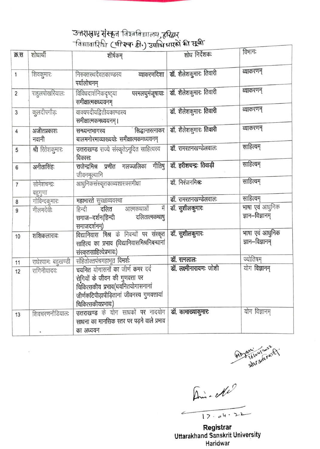## उन्नराखण्ड संस्कृत विश्वविद्या*लय,* हरिद्वार<br><sup>-</sup>विद्यावारिधि (पीस्च डी.) उपाधिधारकों की सूची

| क्र.स          | शोधार्थी            | $\cdots$<br>शीर्षकम्                                                | शोध निर्देशकः                        | विभाग:                             |
|----------------|---------------------|---------------------------------------------------------------------|--------------------------------------|------------------------------------|
|                |                     |                                                                     |                                      |                                    |
| 1              | शिवकुमारः           | निरुक्तस्थदैवतकाण्डस्य                                              | व्याकरणदिशा   डॉ. शैलेशकुमारः तिवारी | व्याकरणम्                          |
|                |                     | पर्यालोचनम्                                                         |                                      |                                    |
| $\overline{2}$ | राहुलपोखरियालः      | परमलघुमंजूषायाः<br>विविधदार्शनिकदृष्ट्या                            | डॉ. शैलेशकुमारः तिवारी               | व्याकरणम्                          |
|                |                     | समीक्षात्मकध्ययनम्                                                  |                                      |                                    |
| $\mathbf{3}$   | कुलदीपगौड़          | वाक्यपदीयद्वितीयकाण्डस्य                                            | डॉ. शैलेशकुमारः तिवारी               | व्याकरणम्                          |
|                |                     | समीक्षात्मकमध्ययनम् ।                                               |                                      |                                    |
| 4              | अजीतप्रकाशः         | ं सिद्धान्तरत्नाकर<br>सन्ध्यन्तभागस्य                               | डॉ. शैलेशकुमारः तिवारी               | व्याकरणम्                          |
|                | नवानी               | बालमनोरमाव्याख्ययोः समीक्षात्मकमध्ययनम्                             |                                      |                                    |
| 5              | श्री रितेशकुमारः    | उत्तराखण्ड राज्ये संस्कृतेऽनूदित साहित्यस्य                         | डॉ. रामरतनखण्डेलवालः                 | साहित्यम्                          |
|                |                     | विकासः                                                              |                                      |                                    |
| 6              | अनीतासिंहः          | राजेन्द्रमिश्र प्रणीत गलज्जलिका गीतिषु                              | डॉ. हरीशचन्द्रः तिवाड़ी              | साहित्यम्                          |
|                |                     | जीवनमूल्यानि                                                        |                                      |                                    |
| $\overline{7}$ | सोमेशचन्द्रः        | आधुनिकसंस्कृतकाव्यशास्त्रसमीक्षा                                    | डॉ. निरंजनमिश्रः                     | साहित्यम्                          |
|                | बहुगुणा             |                                                                     |                                      |                                    |
| 8              | गोविन्दकुमारः       | महाभारते सुरक्षाव्यवस्था                                            | डॉ. रामरतनखण्डेलवालः                 | साहित्यम्                          |
| 9              | नीलमदेवीः           | में<br>आत्मकथाओं<br>दलित<br>हिन्दी                                  | डॉ. सुशीलकुमारः                      | भाषा एवं आधुनिक                    |
|                |                     | दलितात्मकथाषु<br>समाज–दर्शन(हिन्दी                                  |                                      | ज्ञान–विज्ञानम्                    |
|                |                     | समाजदर्शनम्)                                                        |                                      |                                    |
| 10             | शशिकलारावः          | विद्यानिवास मिश्र के निबन्धों पर संस्कृत                            | डॉ. सुशीलकुमारः                      | भाषा एवं आधुनिक<br>ज्ञान–विज्ञानम् |
|                |                     | साहित्य का प्रभाव (विद्यानिवासमिश्रनिबन्धानां                       |                                      |                                    |
|                |                     | संस्कृतसाहित्येप्रभावः)                                             | डॉ. रत्नलालः                         | ज्योतिषम्                          |
| 11             | राधेश्यामः बहुखण्डी | संहितोक्तपंचमहाभूत विमर्शः                                          | डॉ. लक्ष्मीनारायणः जोशी              | योग विज्ञानम्                      |
| 12             | रागिनीयादवः         | चयनित योगासनों का जीर्ण कमर दर्द                                    |                                      |                                    |
|                |                     | रोगियों के जीवन की गुणवत्ता पर<br>चिकित्सकीय प्रभाव(चयनितयोगासनानां |                                      |                                    |
|                |                     | जीर्णकटिपीड़ापीड़ितानां जीवनस्य गुणवत्तायां                         |                                      |                                    |
|                |                     | चिकित्सकीयप्रभावः)                                                  |                                      |                                    |
|                | शिवचरणनौडियालः      | उत्तराखण्ड के योग साधकों पर नादयोग                                  | डॉ. कामाख्याकुमारः                   | योग विज्ञानम्                      |
| 13             |                     | साधना का मानसिक स्तर पर पड़ने वाले प्रभाव                           |                                      |                                    |
|                |                     | का अध्ययन                                                           |                                      |                                    |
|                |                     |                                                                     |                                      |                                    |

 $\tilde{t}$ 

Moyam Leloulness 2

Ami- offer  $12.04.22$  $\leftharpoondown$ 

Registrar<br>Uttarakhand Sanskrit University Haridwar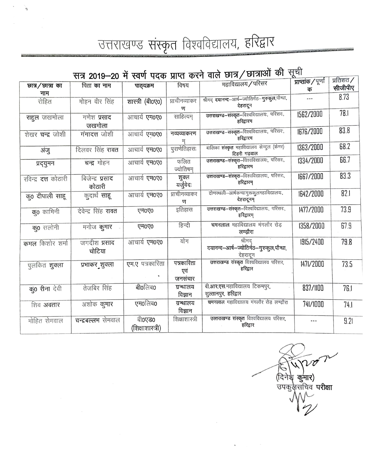उत्तराखण्ड संस्कृत विश्वविद्यालय, हरिद्वार

ò

## सत्र 2019–20 में स्वर्ण पदक प्राप्त करने वाले छात्र/छात्राओं की सूची

| চ্যাत्र∕ छात्रा का          | पिता का नाम         | पाठ्यक्रम           | विषय           | महाविद्यालय/परिसर                                                | प्राप्तांक / पूर्णा | प्रातशत ⁄ |
|-----------------------------|---------------------|---------------------|----------------|------------------------------------------------------------------|---------------------|-----------|
|                             |                     |                     |                |                                                                  | क                   | सीजीपीए   |
| नाम                         |                     |                     |                | श्रीमद् <b>दयानन्द</b> -आर्ष–ज्योतिर्मठ– <b>गुरुकुल</b> ,पौन्धा, | ---                 | 8.73      |
| रोहित                       | मोहन वीर सिंह       | शास्त्री (बी0ए0)    | प्राचीनव्याकर  | देहरादून                                                         |                     |           |
|                             |                     |                     | ण              |                                                                  |                     |           |
| राहुल जखमोला                | गणेश प्रसाद         | आचार्य एम0ए0        | साहित्यम्      | उत्तराखण्ड–संस्कृत–विश्वविद्यालयः, परिसरः,                       | 1562/2000           | 78.1      |
|                             | जखमोला              |                     |                | हरिद्वारम                                                        |                     |           |
|                             |                     |                     |                | उत्तराखण्ड-संस्कृत-विश्वविद्यालयः, परिसरः,                       | 1676/2000           | 83.8      |
| शेखर चन्द्र जोशी            | गंगादत्त जोशी       | आचार्य एम०ए०        | नव्यव्याकरण    | हरिद्वारम                                                        |                     |           |
|                             |                     |                     | म              |                                                                  |                     | 68.2      |
| अंजु                        | दिलवर सिंह रावत     | आचार्य एम0ए0        | पुराणेतिहासः   | बालिका संस्कृत महाविद्यालय सेन्दुल (केमर)<br>टिहरी गढ़वाल        | 1363/2000           |           |
|                             |                     |                     |                | उत्तराखण्ड–संस्कृत–विश्वविद्यालयः, परिसरः,                       |                     | 66.7      |
| प्रद्युमन                   | चन्द्र मोहन         | आचार्य एम0ए0        | फलित           | हरिद्वारम                                                        | 1334/2000           |           |
|                             |                     |                     | ज्योतिषम्      |                                                                  |                     |           |
| रविन्द्र <b>दत्त</b> कोठारी | बिजेन्द्र प्रसाद    | आचार्य एम0ए0        | शुक्ल          | उत्तराखण्ड-संस्कृत-विश्वविद्यालयः, परिसरः,                       | 1667/2000           | 83.3      |
|                             | कोठारी              |                     | यर्जुवेदः      | हरिद्वारम्                                                       |                     |           |
|                             |                     |                     | प्राचीनव्याकर  | दोणस्थली-आर्षकन्यागुरूकुलमहाविद्यालयः                            | 1642/2000           | 82.1      |
| कू0 दीपाली साहू             | कुदार्थ साहू        | आचार्य <b>एम0ए0</b> |                | देहरादूनम्                                                       |                     |           |
|                             |                     |                     | ण              |                                                                  |                     |           |
| क्0 कामिनी                  | देवेन्द्र सिंह रावत | एम0ए0               | इतिहास         | उत्तराखण्ड-संस्कृत-विश्वविद्यालय, परिसर:                         | 1477/2000           | 73.9      |
|                             |                     |                     |                | हरिद्वारम्                                                       |                     |           |
| कु0 सलोनी                   | मनोज कुमार          | एम0ए0               | हिन्दी         | चमनलाल महाविद्यालय मंगलौर रोड                                    | 1358/2000           | 67.9      |
|                             |                     |                     |                | लण्ढौरा                                                          |                     |           |
|                             |                     |                     | योग            | श्रीमद                                                           |                     |           |
| कमल किशोर शर्मा             | जगदीश प्रसाद        | आचार्य एम0ए0        |                | दयानन्द-आर्ष-ज्योतिर्मठ-गुरुकुल,पौन्धा,                          | 1915/2400           | 79.8      |
|                             | चोटिया              |                     |                |                                                                  |                     |           |
|                             |                     |                     |                | देहरादून<br>उत्तराखण्ड संस्कृत विश्वविद्यालय परिसर,              |                     |           |
| पुलकित शुक्ला               | प्रभाकर_शुक्ला      | एम.ए पत्रकारिता     | पत्रकारिता     | हरिद्वार                                                         | 1471/2000           | 73.5      |
|                             |                     |                     | एवं            |                                                                  |                     |           |
|                             |                     |                     | जनसंचार        |                                                                  |                     |           |
| क0 रीना देवी                | तेजबिर सिंह         | बी0लिब0             | ग्रन्थालय      | बी.आर.एस.महाविद्यालय टिकमपुर,                                    | 837/1100            | 76.1      |
|                             |                     |                     | विज्ञान        | सुल्तानपुर, हरिद्वार                                             |                     |           |
|                             |                     | एम0लिब0             | ग्रन्थालय      | चमनलाल महाविद्यालय मंगलौर रोड़ लण्ढौरा                           |                     |           |
| शिव अवतार                   | अशोक कुमार          |                     |                |                                                                  | 741/1000            | 74.1      |
|                             |                     |                     | विज्ञान        |                                                                  |                     |           |
| मोहित सेमवाल                | चन्द्रबल्लभ सेमवाल  | बी0एड0              | शिक्षाशास्त्री | उत्तराखण्ड संस्कृत विश्वविद्यालय परिसर                           |                     | 9.21      |
|                             |                     | (शिक्षाशास्त्री)    |                | हरिद्वार                                                         |                     |           |

(दि श्च कुमार) उपकुर्कसचिव **परीक्षा**